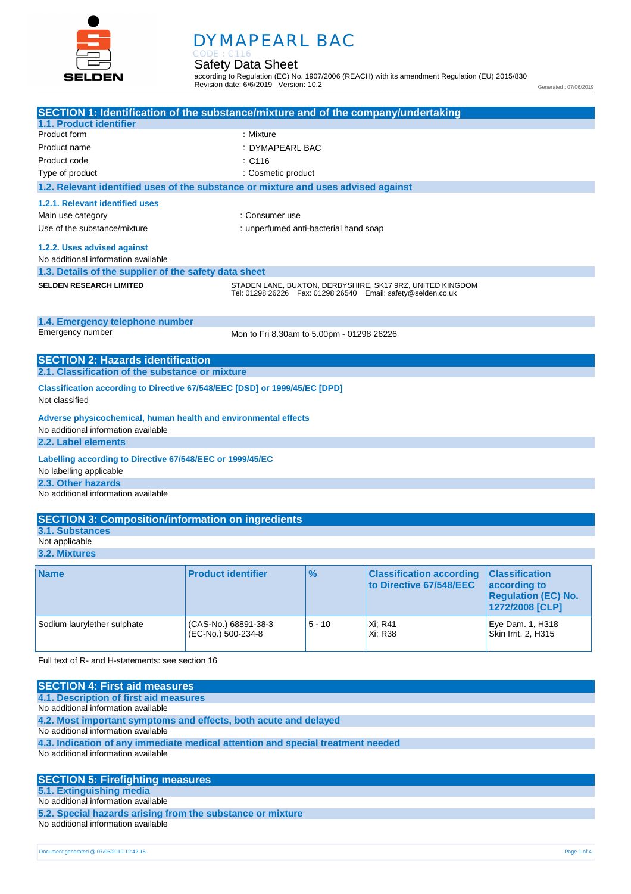

# **.** DYMAPEARL BAC

Safety Data Sheet CODE : C116

according to Regulation (EC) No. 1907/2006 (REACH) with its amendment Regulation (EU) 2015/830 Revision date: 6/6/2019 Version: 10.2

Generated : 07/06/2019

| SECTION 1: Identification of the substance/mixture and of the company/undertaking  |                                           |                                       |                                                                    |                            |
|------------------------------------------------------------------------------------|-------------------------------------------|---------------------------------------|--------------------------------------------------------------------|----------------------------|
| 1.1. Product identifier<br>Product form                                            | : Mixture                                 |                                       |                                                                    |                            |
| Product name                                                                       | : DYMAPEARL BAC                           |                                       |                                                                    |                            |
| Product code                                                                       |                                           |                                       |                                                                    |                            |
|                                                                                    | :C116                                     |                                       |                                                                    |                            |
| Type of product                                                                    | : Cosmetic product                        |                                       |                                                                    |                            |
| 1.2. Relevant identified uses of the substance or mixture and uses advised against |                                           |                                       |                                                                    |                            |
| 1.2.1. Relevant identified uses                                                    |                                           |                                       |                                                                    |                            |
| Main use category                                                                  | : Consumer use                            |                                       |                                                                    |                            |
| Use of the substance/mixture                                                       |                                           | : unperfumed anti-bacterial hand soap |                                                                    |                            |
| 1.2.2. Uses advised against                                                        |                                           |                                       |                                                                    |                            |
| No additional information available                                                |                                           |                                       |                                                                    |                            |
| 1.3. Details of the supplier of the safety data sheet                              |                                           |                                       |                                                                    |                            |
| <b>SELDEN RESEARCH LIMITED</b>                                                     |                                           |                                       | STADEN LANE, BUXTON, DERBYSHIRE, SK17 9RZ, UNITED KINGDOM          |                            |
|                                                                                    |                                           |                                       | Tel: 01298 26226    Fax: 01298 26540    Email: safety@selden.co.uk |                            |
|                                                                                    |                                           |                                       |                                                                    |                            |
| 1.4. Emergency telephone number                                                    |                                           |                                       |                                                                    |                            |
| Emergency number                                                                   | Mon to Fri 8.30am to 5.00pm - 01298 26226 |                                       |                                                                    |                            |
|                                                                                    |                                           |                                       |                                                                    |                            |
| <b>SECTION 2: Hazards identification</b>                                           |                                           |                                       |                                                                    |                            |
| 2.1. Classification of the substance or mixture                                    |                                           |                                       |                                                                    |                            |
| Classification according to Directive 67/548/EEC [DSD] or 1999/45/EC [DPD]         |                                           |                                       |                                                                    |                            |
| Not classified                                                                     |                                           |                                       |                                                                    |                            |
| Adverse physicochemical, human health and environmental effects                    |                                           |                                       |                                                                    |                            |
| No additional information available                                                |                                           |                                       |                                                                    |                            |
| 2.2. Label elements                                                                |                                           |                                       |                                                                    |                            |
| Labelling according to Directive 67/548/EEC or 1999/45/EC                          |                                           |                                       |                                                                    |                            |
| No labelling applicable                                                            |                                           |                                       |                                                                    |                            |
| 2.3. Other hazards                                                                 |                                           |                                       |                                                                    |                            |
| No additional information available                                                |                                           |                                       |                                                                    |                            |
|                                                                                    |                                           |                                       |                                                                    |                            |
| <b>SECTION 3: Composition/information on ingredients</b>                           |                                           |                                       |                                                                    |                            |
| 3.1. Substances                                                                    |                                           |                                       |                                                                    |                            |
| Not applicable                                                                     |                                           |                                       |                                                                    |                            |
| 3.2. Mixtures                                                                      |                                           |                                       |                                                                    |                            |
| <b>Name</b>                                                                        | <b>Product identifier</b>                 | %                                     | <b>Classification according</b>                                    | <b>Classification</b>      |
|                                                                                    |                                           |                                       | to Directive 67/548/EEC                                            | according to               |
|                                                                                    |                                           |                                       |                                                                    | <b>Regulation (EC) No.</b> |
|                                                                                    |                                           |                                       |                                                                    | 1272/2008 [CLP]            |
| Sodium laurylether sulphate                                                        | (CAS-No.) 68891-38-3                      | $5 - 10$                              | Xi; R41                                                            | Eye Dam. 1, H318           |
|                                                                                    | (EC-No.) 500-234-8                        |                                       | Xi; R38                                                            | Skin Irrit. 2, H315        |
|                                                                                    |                                           |                                       |                                                                    |                            |
| Full text of R- and H-statements: see section 16                                   |                                           |                                       |                                                                    |                            |
|                                                                                    |                                           |                                       |                                                                    |                            |
| <b>SECTION 4: First aid measures</b>                                               |                                           |                                       |                                                                    |                            |
| 4.1. Description of first aid measures                                             |                                           |                                       |                                                                    |                            |

No additional information available

**4.2. Most important symptoms and effects, both acute and delayed**

No additional information available

**4.3. Indication of any immediate medical attention and special treatment needed** No additional information available

### **SECTION 5: Firefighting measures 5.1. Extinguishing media** No additional information available

**5.2. Special hazards arising from the substance or mixture** No additional information available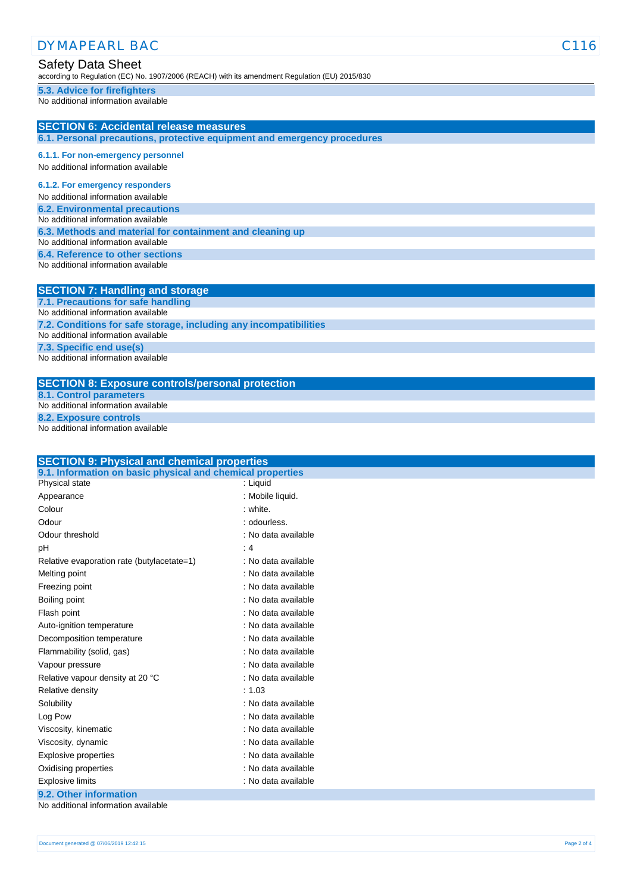| <b>DYMAPEARL BAC</b>                                                                                                       | C <sub>116</sub> |
|----------------------------------------------------------------------------------------------------------------------------|------------------|
| <b>Safety Data Sheet</b><br>according to Regulation (EC) No. 1907/2006 (REACH) with its amendment Regulation (EU) 2015/830 |                  |
| 5.3. Advice for firefighters<br>No additional information available                                                        |                  |
| <b>SECTION 6: Accidental release measures</b><br>6.1. Personal precautions, protective equipment and emergency procedures  |                  |
| 6.1.1. For non-emergency personnel                                                                                         |                  |
| No additional information available                                                                                        |                  |
| 6.1.2. For emergency responders                                                                                            |                  |
| No additional information available                                                                                        |                  |
| <b>6.2. Environmental precautions</b>                                                                                      |                  |
| No additional information available                                                                                        |                  |
| 6.3. Methods and material for containment and cleaning up                                                                  |                  |
| No additional information available                                                                                        |                  |
| 6.4. Reference to other sections                                                                                           |                  |
| No additional information available                                                                                        |                  |
| <b>SECTION 7: Handling and storage</b>                                                                                     |                  |
| 7.1. Precautions for safe handling                                                                                         |                  |
| No additional information available                                                                                        |                  |
| 7.2. Conditions for safe storage, including any incompatibilities                                                          |                  |
| No additional information available                                                                                        |                  |
| 7.3. Specific end use(s)                                                                                                   |                  |
| No additional information available                                                                                        |                  |
| <b>SECTION 8: Exposure controls/personal protection</b>                                                                    |                  |
| <b>8.1. Control parameters</b>                                                                                             |                  |
| No additional information available                                                                                        |                  |
| 8.2. Exposure controls                                                                                                     |                  |

No additional information available

| <b>SECTION 9: Physical and chemical properties</b>         |                     |  |
|------------------------------------------------------------|---------------------|--|
| 9.1. Information on basic physical and chemical properties |                     |  |
| Physical state                                             | : Liquid            |  |
| Appearance                                                 | : Mobile liquid.    |  |
| Colour                                                     | : white.            |  |
| Odour                                                      | : odourless.        |  |
| Odour threshold                                            | : No data available |  |
| pH                                                         | :4                  |  |
| Relative evaporation rate (butylacetate=1)                 | : No data available |  |
| Melting point                                              | : No data available |  |
| Freezing point                                             | : No data available |  |
| Boiling point                                              | : No data available |  |
| Flash point                                                | : No data available |  |
| Auto-ignition temperature                                  | : No data available |  |
| Decomposition temperature                                  | : No data available |  |
| Flammability (solid, gas)                                  | : No data available |  |
| Vapour pressure                                            | : No data available |  |
| Relative vapour density at 20 °C                           | : No data available |  |
| Relative density                                           | : 1.03              |  |
| Solubility                                                 | : No data available |  |
| Log Pow                                                    | : No data available |  |
| Viscosity, kinematic                                       | : No data available |  |
| Viscosity, dynamic                                         | : No data available |  |
| Explosive properties                                       | : No data available |  |
| Oxidising properties                                       | : No data available |  |
| <b>Explosive limits</b>                                    | : No data available |  |
| 9.2. Other information                                     |                     |  |

No additional information available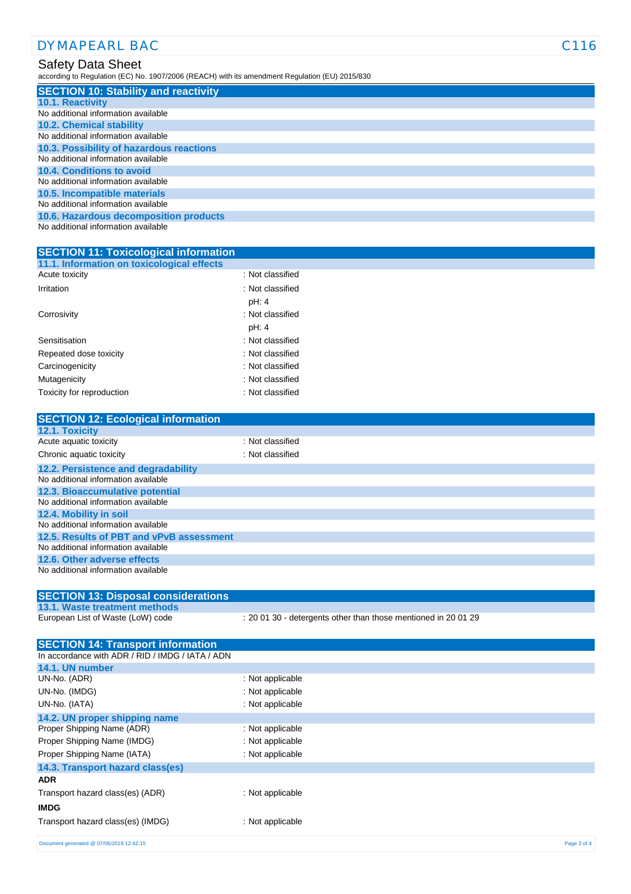| <b>DYMAPEARL BAC</b>                                                                                                       | 16 |
|----------------------------------------------------------------------------------------------------------------------------|----|
| <b>Safety Data Sheet</b><br>according to Regulation (EC) No. 1907/2006 (REACH) with its amendment Regulation (EU) 2015/830 |    |
| <b>SECTION 10: Stability and reactivity</b>                                                                                |    |
| <b>10.1. Reactivity</b>                                                                                                    |    |
| No additional information available                                                                                        |    |
| <b>10.2. Chemical stability</b>                                                                                            |    |
| No additional information available                                                                                        |    |
| 10.3. Possibility of hazardous reactions                                                                                   |    |
| No additional information available                                                                                        |    |
| 10.4. Conditions to avoid                                                                                                  |    |
| No additional information available                                                                                        |    |
| 10.5. Incompatible materials                                                                                               |    |
| No additional information available                                                                                        |    |
| 10.6. Hazardous decomposition products                                                                                     |    |
| No additional information available                                                                                        |    |
|                                                                                                                            |    |

| 11.1. Information on toxicological effects |                             |
|--------------------------------------------|-----------------------------|
| Acute toxicity                             | : Not classified            |
| Irritation                                 | : Not classified            |
|                                            | pH: 4                       |
| Corrosivity                                | : Not classified            |
|                                            | pH: 4                       |
| Sensitisation                              | : Not classified            |
| Repeated dose toxicity                     | : Not classified            |
| Carcinogenicity                            | : Not classified            |
| Mutagenicity                               | : Not classified            |
| Toxicity for reproduction                  | $\therefore$ Not classified |
|                                            |                             |

**SECTION 11: Toxicological information**

| <b>SECTION 12: Ecological information</b> |                  |
|-------------------------------------------|------------------|
| 12.1. Toxicity                            |                  |
| Acute aquatic toxicity                    | : Not classified |
| Chronic aquatic toxicity                  | : Not classified |
| 12.2. Persistence and degradability       |                  |
| No additional information available       |                  |
| 12.3. Bioaccumulative potential           |                  |
| No additional information available       |                  |
| 12.4. Mobility in soil                    |                  |
| No additional information available       |                  |
| 12.5. Results of PBT and vPvB assessment  |                  |
| No additional information available       |                  |
| 12.6. Other adverse effects               |                  |
| No additional information available       |                  |
|                                           |                  |

## **SECTION 13: Disposal considerations**

## **13.1. Waste treatment methods**

European List of Waste (LoW) code : 20 01 30 - detergents other than those mentioned in 20 01 29

| <b>SECTION 14: Transport information</b>         |                  |             |
|--------------------------------------------------|------------------|-------------|
| In accordance with ADR / RID / IMDG / IATA / ADN |                  |             |
| 14.1. UN number                                  |                  |             |
| UN-No. (ADR)                                     | : Not applicable |             |
| UN-No. (IMDG)                                    | : Not applicable |             |
| UN-No. (IATA)                                    | : Not applicable |             |
| 14.2. UN proper shipping name                    |                  |             |
| Proper Shipping Name (ADR)                       | : Not applicable |             |
| Proper Shipping Name (IMDG)                      | : Not applicable |             |
| Proper Shipping Name (IATA)                      | : Not applicable |             |
| 14.3. Transport hazard class(es)                 |                  |             |
| <b>ADR</b>                                       |                  |             |
| Transport hazard class(es) (ADR)                 | : Not applicable |             |
| <b>IMDG</b>                                      |                  |             |
| Transport hazard class(es) (IMDG)                | : Not applicable |             |
| Document generated @ 07/06/2019 12:42:15         |                  | Page 3 of 4 |